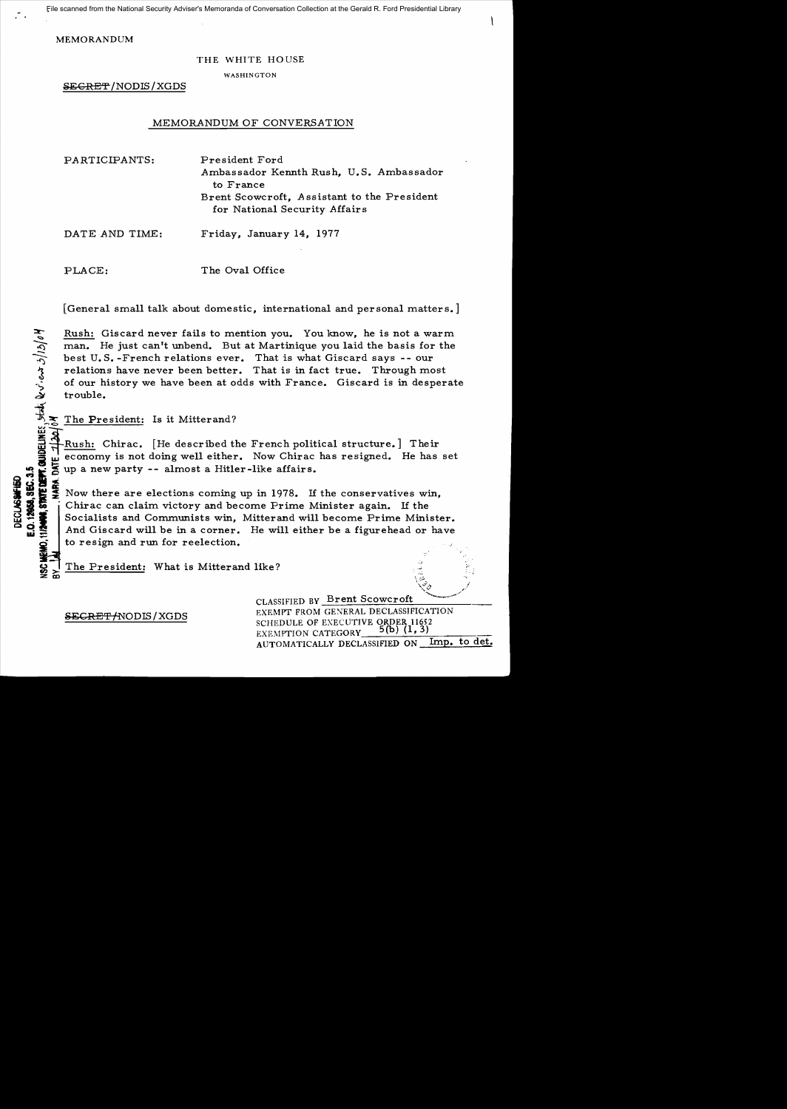MEMOR ANDUM

## THE WHITE HOUSE

WASHINGTON

SECRET /NODIS/XGDS

## MEMORANDUM OF CONVERSATION

| PARTICIPANTS:  | President Ford<br>Ambassador Kennth Rush, U.S. Ambassador<br>to France<br>Brent Scowcroft, Assistant to the President<br>for National Security Affairs |
|----------------|--------------------------------------------------------------------------------------------------------------------------------------------------------|
| DATE AND TIME: | Friday, January 14, 1977                                                                                                                               |

PLACE:

The Oval Office

[General small talk about domestic, international and personal matters.]

Example 1 Rush: Giscard never fails to mention you. You know, he is not a warm<br>
man. He just can't unbend. But at Martinique you laid the basis for the<br>
best U.S.-French relations ever. That is what Giscard says -- our<br>
r man. He just can't unbend. But at Martinique you laid the basis for the<br>best U.S. -French relations ever. That is what Giscard says -- our<br>relations have never been better. That is in fact true. Through most of our history we have been at odds with France. Giscard is in desperate trouble.

L The President: Is it Mitterand?<br> **Example 2**<br>
Rush: Chirac. [He described the economy is not doing well either Rush: Chirac. [He described the French political structure.] Their economy is not doing well either. Now Chirac has resigned. He has set

So the state of a Hitler-like affairs.<br>
So the state of a Hitler-like affairs.<br>
So there are elections coming up in 1978. If<br>
Socialists and Communists win, Mitterand will<br>
And Giscard will be in a corner. He will either **i . 8** up a new party -- almost a Hitler-like affairs.<br>**1980 : 1980 : 1980**<br>**1980 : 1980 : 1980 : 1980 : 1980 : 1980 : 1978.** If the conservatives win,<br>**1980 : 1980 : 1980 : 1980 : 1980 : 1980 : 1980 : 1980 : 1980 : 1980**  $\frac{1}{2}$   $\frac{1}{2}$   $\frac{1}{2}$  Now there are elections coming up in 1978. If the conservatives with  $\frac{1}{2}$   $\frac{1}{2}$   $\frac{1}{2}$  Chirac can claim victory and become Prime Minister again. If the For the conservatives win,<br>  $\begin{array}{r} \mathbf{a} \mathbf{b} \mathbf{c} \\ \mathbf{c} \mathbf{s} \mathbf{c} \\ \mathbf{d} \mathbf{s} \mathbf{c} \\ \mathbf{c} \mathbf{s} \mathbf{c} \mathbf{s} \\ \mathbf{d} \mathbf{c} \mathbf{s} \mathbf{s} \end{array}$  Now there are elections coming up in 1978. If the conservatives win,<br>  $\begin{array}{r} \$ And Giscard will be in a corner. He will either be a figurehead or have to resign and run for reelection.

The President: What is Mitterand like?

CLASSIFIED BY Brent Scowcroft

EXEMPT FROM GENERAL DECLASSIFICATION SCHEDULE OF EXECUTIVE ORDER 11652 EXEMPTION CATEGORY AUTOMATICALLY DECLASSIFIED ON Imp. to det.

 $^{\ddag}$  :  $^{\ddag}$ 

SECRET /NODIS / XGDS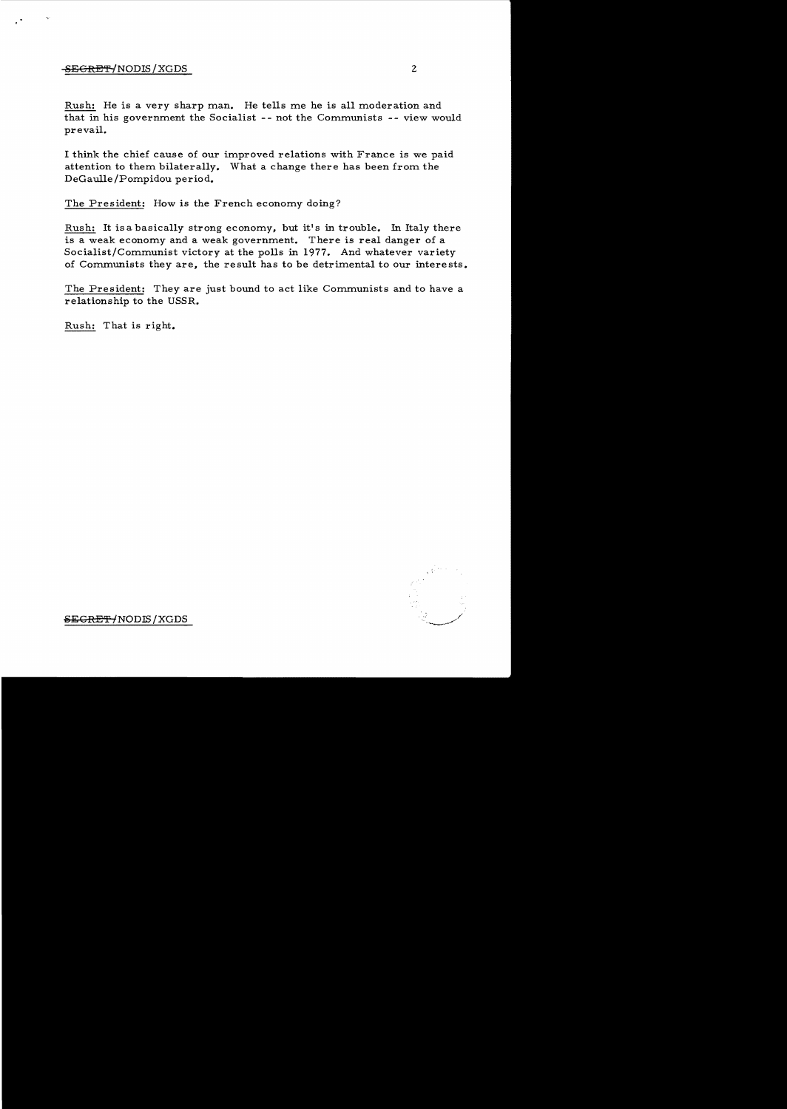## $-$ <del>SECRET'</del>-/NODIS / XGDS 2

Rush: He is a very sharp man. He tells me he is all moderation and that in his government the Socialist -- not the Communists -- view would prevail.

I think the chief cause of our improved relations with France is we paid attention to them bilaterally. What a change there has been from the DeGau11e/Pompidou period.

The President: How is the French economy doing?

Rush: It is a basically strong economy, but it's in trouble. In Italy there is a weak economy and a weak government. There is real danger of a Socialist/Communist victory at the polls in 1977. And whatever variety of Communists they are, the result has to be detrimental to our interests.

The President: They are just bound to act like Communists and to have a relationship to the USSR.

Rush: That is right.



eECRE'P-fNODIS /XGDS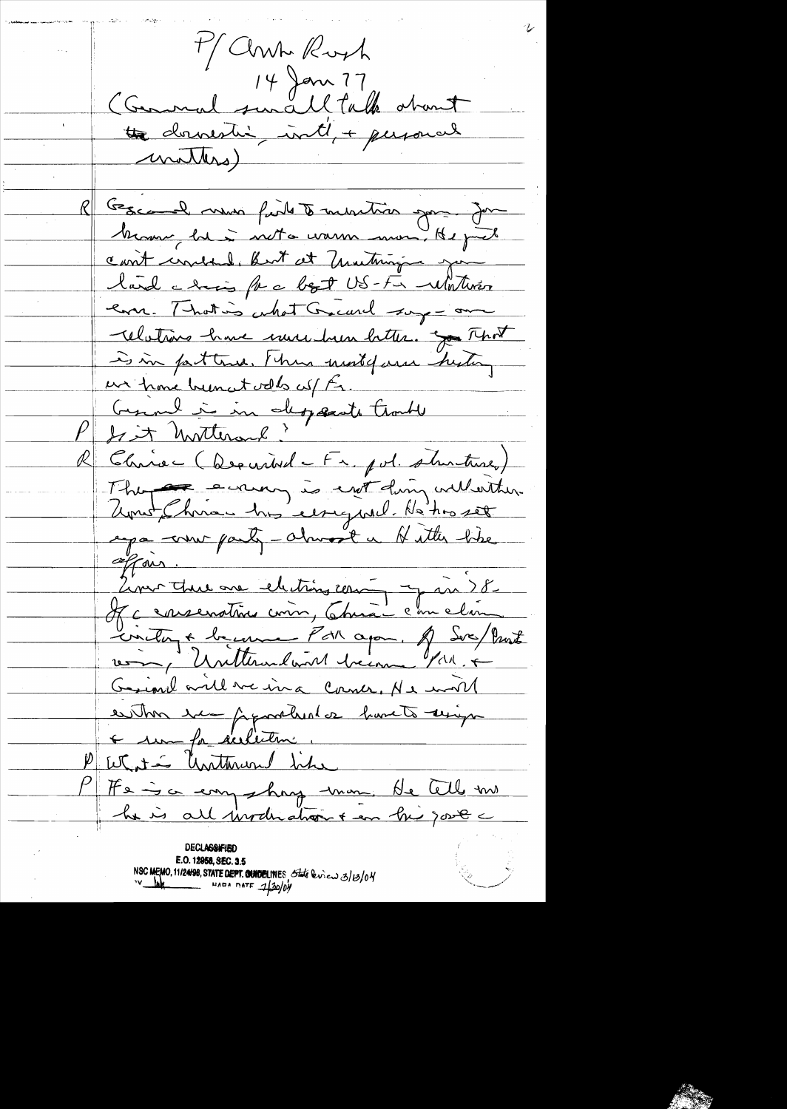M Clinh Royh Commal sunall, talk about the downesting inti + personal <u>mathers)</u> Gescard muni field to munition gon Jon Many he is not a warm more He just can't cruded, but at matingin ju land a hois for a bot US-Fa Watter ern. That is what Great soy - one Whiting have much him better. of That is in facture. I have most of and history un home been at votes cul Es. Gernel à in departe trouble Chine (Decurived Fr. pvl. shirtune)  $\mathbb{Z}$  . The eveny is ent din culturation ega comme party - almost a Nitter like offan. Liver this one electron com y in 8. If a consenation comm, China com clair Circley & because Par après de Sere/Prent Griml will we in a Corner, Ne will es thos exemployed de havets unique What is unthrund like He is a empehant mon. He tell me he is all involu atront en hi jours **DECLASSIFIED** E.O. 12958, SEC. 3.5 NSC MEMO, 11/24/98, STATE DEPT. CONDELINES State lines 3/0/04  $=$  NADA DATE  $130/04$